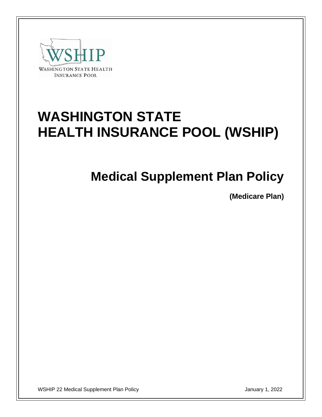

# **WASHINGTON STATE HEALTH INSURANCE POOL (WSHIP)**

# **Medical Supplement Plan Policy**

**(Medicare Plan)**

WSHIP 22 Medical Supplement Plan Policy January 1, 2022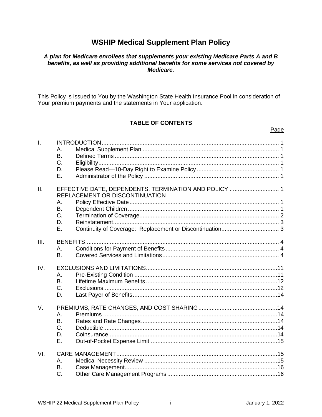## **WSHIP Medical Supplement Plan Policy**

#### *A plan for Medicare enrollees that supplements your existing Medicare Parts A and B benefits, as well as providing additional benefits for some services not covered by Medicare.*

This Policy is issued to You by the Washington State Health Insurance Pool in consideration of Your premium payments and the statements in Your application.

### **TABLE OF CONTENTS**

## I. INTRODUCTION............................................................................................................ 1 A. Medical Supplement Plan ................................................................................... 1 B. Defined Terms .................................................................................................... 1 C. Eligibility.............................................................................................................. 1 D. Please Read—10-Day Right to Examine Policy .................................................. 1 E. Administrator of the Policy .................................................................................. 1 II. EFFECTIVE DATE, DEPENDENTS, TERMINATION AND POLICY .............................. 1 REPLACEMENT OR DISCONTINUATION A. Policy Effective Date........................................................................................... 1 B. Dependent Children............................................................................................ 1 C. Termination of Coverage..................................................................................... 2 D. Reinstatement..................................................................................................... 3 E. Continuity of Coverage: Replacement or Discontinuation................................... 3 III. BENEFITS...................................................................................................................... 4 A. Conditions for Payment of Benefits ..................................................................... 4 B. Covered Services and Limitations....................................................................... 4 IV. EXCLUSIONS AND LIMITATIONS................................................................................11 A. Pre-Existing Condition .......................................................................................11 B. Lifetime Maximum Benefits ................................................................................12 C. Exclusions..........................................................................................................12 D. Last Payer of Benefits........................................................................................14 V. PREMIUMS, RATE CHANGES, AND COST SHARING................................................14 A. Premiums ..........................................................................................................14 B. Rates and Rate Changes...................................................................................14 C. Deductible..........................................................................................................14 D. Coinsurance.......................................................................................................14 E. Out-of-Pocket Expense Limit .............................................................................15 VI. CARE MANAGEMENT..................................................................................................15 A. Medical Necessity Review .................................................................................15 B. Case Management.............................................................................................16 C. Other Care Management Programs ...................................................................16

Page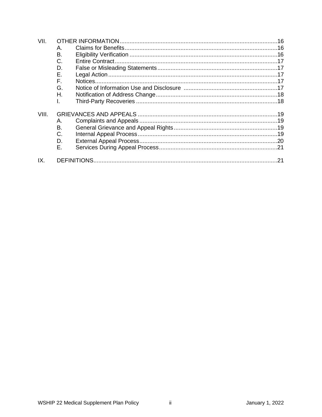| VII.  |           |  |  |
|-------|-----------|--|--|
|       | Α.        |  |  |
|       | <b>B.</b> |  |  |
|       | C.        |  |  |
|       | D.        |  |  |
|       | Е.        |  |  |
|       | F.        |  |  |
|       | G.        |  |  |
|       | Η.        |  |  |
|       | I.        |  |  |
| VIII. |           |  |  |
|       | Α.        |  |  |
|       | Β.        |  |  |
|       | C.        |  |  |
|       | D.        |  |  |
|       | Е.        |  |  |
| IX.   |           |  |  |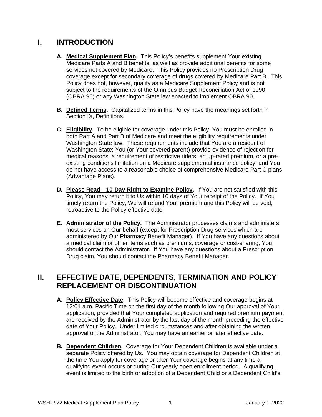## **I. INTRODUCTION**

- **A. Medical Supplement Plan.** This Policy's benefits supplement Your existing Medicare Parts A and B benefits, as well as provide additional benefits for some services not covered by Medicare. This Policy provides no Prescription Drug coverage except for secondary coverage of drugs covered by Medicare Part B. This Policy does not, however, qualify as a Medicare Supplement Policy and is not subject to the requirements of the Omnibus Budget Reconciliation Act of 1990 (OBRA 90) or any Washington State law enacted to implement OBRA 90.
- **B. Defined Terms.** Capitalized terms in this Policy have the meanings set forth in Section IX, Definitions.
- **C. Eligibility.** To be eligible for coverage under this Policy, You must be enrolled in both Part A and Part B of Medicare and meet the eligibility requirements under Washington State law. These requirements include that You are a resident of Washington State; You (or Your covered parent) provide evidence of rejection for medical reasons, a requirement of restrictive riders, an up-rated premium, or a preexisting conditions limitation on a Medicare supplemental insurance policy; and You do not have access to a reasonable choice of comprehensive Medicare Part C plans (Advantage Plans).
- **D. Please Read—10-Day Right to Examine Policy.** If You are not satisfied with this Policy, You may return it to Us within 10 days of Your receipt of the Policy. If You timely return the Policy, We will refund Your premium and this Policy will be void, retroactive to the Policy effective date.
- **E. Administrator of the Policy.** The Administrator processes claims and administers most services on Our behalf (except for Prescription Drug services which are administered by Our Pharmacy Benefit Manager). If You have any questions about a medical claim or other items such as premiums, coverage or cost-sharing, You should contact the Administrator. If You have any questions about a Prescription Drug claim, You should contact the Pharmacy Benefit Manager.

## **II. EFFECTIVE DATE, DEPENDENTS, TERMINATION AND POLICY REPLACEMENT OR DISCONTINUATION**

- **A. Policy Effective Date.** This Policy will become effective and coverage begins at 12:01 a.m. Pacific Time on the first day of the month following Our approval of Your application, provided that Your completed application and required premium payment are received by the Administrator by the last day of the month preceding the effective date of Your Policy. Under limited circumstances and after obtaining the written approval of the Administrator, You may have an earlier or later effective date.
- **B. Dependent Children.** Coverage for Your Dependent Children is available under a separate Policy offered by Us. You may obtain coverage for Dependent Children at the time You apply for coverage or after Your coverage begins at any time a qualifying event occurs or during Our yearly open enrollment period. A qualifying event is limited to the birth or adoption of a Dependent Child or a Dependent Child's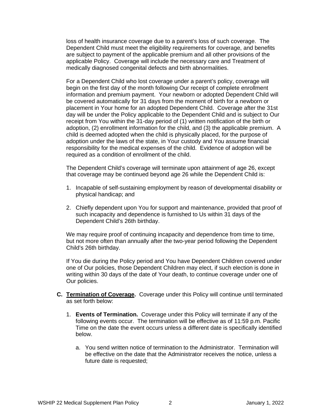loss of health insurance coverage due to a parent's loss of such coverage. The Dependent Child must meet the eligibility requirements for coverage, and benefits are subject to payment of the applicable premium and all other provisions of the applicable Policy. Coverage will include the necessary care and Treatment of medically diagnosed congenital defects and birth abnormalities.

For a Dependent Child who lost coverage under a parent's policy, coverage will begin on the first day of the month following Our receipt of complete enrollment information and premium payment. Your newborn or adopted Dependent Child will be covered automatically for 31 days from the moment of birth for a newborn or placement in Your home for an adopted Dependent Child. Coverage after the 31st day will be under the Policy applicable to the Dependent Child and is subject to Our receipt from You within the 31-day period of (1) written notification of the birth or adoption, (2) enrollment information for the child, and (3) the applicable premium. A child is deemed adopted when the child is physically placed, for the purpose of adoption under the laws of the state, in Your custody and You assume financial responsibility for the medical expenses of the child. Evidence of adoption will be required as a condition of enrollment of the child.

The Dependent Child's coverage will terminate upon attainment of age 26, except that coverage may be continued beyond age 26 while the Dependent Child is:

- 1. Incapable of self-sustaining employment by reason of developmental disability or physical handicap; and
- 2. Chiefly dependent upon You for support and maintenance, provided that proof of such incapacity and dependence is furnished to Us within 31 days of the Dependent Child's 26th birthday.

We may require proof of continuing incapacity and dependence from time to time, but not more often than annually after the two-year period following the Dependent Child's 26th birthday.

If You die during the Policy period and You have Dependent Children covered under one of Our policies, those Dependent Children may elect, if such election is done in writing within 30 days of the date of Your death, to continue coverage under one of Our policies.

- **C. Termination of Coverage.** Coverage under this Policy will continue until terminated as set forth below:
	- 1. **Events of Termination.** Coverage under this Policy will terminate if any of the following events occur. The termination will be effective as of 11:59 p.m. Pacific Time on the date the event occurs unless a different date is specifically identified below.
		- a. You send written notice of termination to the Administrator. Termination will be effective on the date that the Administrator receives the notice, unless a future date is requested;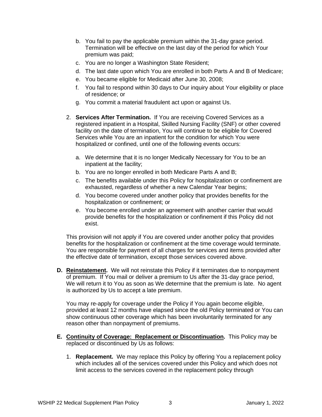- b. You fail to pay the applicable premium within the 31-day grace period. Termination will be effective on the last day of the period for which Your premium was paid;
- c. You are no longer a Washington State Resident;
- d. The last date upon which You are enrolled in both Parts A and B of Medicare;
- e. You became eligible for Medicaid after June 30, 2008;
- f. You fail to respond within 30 days to Our inquiry about Your eligibility or place of residence; or
- g. You commit a material fraudulent act upon or against Us.
- 2. **Services After Termination.** If You are receiving Covered Services as a registered inpatient in a Hospital, Skilled Nursing Facility (SNF) or other covered facility on the date of termination, You will continue to be eligible for Covered Services while You are an inpatient for the condition for which You were hospitalized or confined, until one of the following events occurs:
	- a. We determine that it is no longer Medically Necessary for You to be an inpatient at the facility;
	- b. You are no longer enrolled in both Medicare Parts A and B;
	- c. The benefits available under this Policy for hospitalization or confinement are exhausted, regardless of whether a new Calendar Year begins;
	- d. You become covered under another policy that provides benefits for the hospitalization or confinement; or
	- e. You become enrolled under an agreement with another carrier that would provide benefits for the hospitalization or confinement if this Policy did not exist.

This provision will not apply if You are covered under another policy that provides benefits for the hospitalization or confinement at the time coverage would terminate. You are responsible for payment of all charges for services and items provided after the effective date of termination, except those services covered above.

**D. Reinstatement.** We will not reinstate this Policy if it terminates due to nonpayment of premium. If You mail or deliver a premium to Us after the 31-day grace period, We will return it to You as soon as We determine that the premium is late. No agent is authorized by Us to accept a late premium.

You may re-apply for coverage under the Policy if You again become eligible, provided at least 12 months have elapsed since the old Policy terminated or You can show continuous other coverage which has been involuntarily terminated for any reason other than nonpayment of premiums.

- **E. Continuity of Coverage: Replacement or Discontinuation.** This Policy may be replaced or discontinued by Us as follows:
	- 1. **Replacement.** We may replace this Policy by offering You a replacement policy which includes all of the services covered under this Policy and which does not limit access to the services covered in the replacement policy through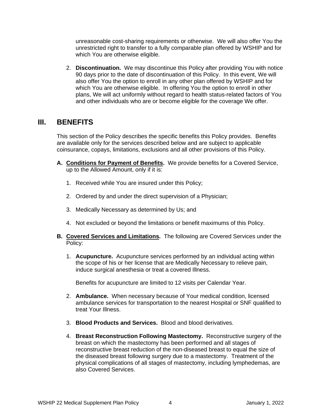unreasonable cost-sharing requirements or otherwise. We will also offer You the unrestricted right to transfer to a fully comparable plan offered by WSHIP and for which You are otherwise eligible.

2. **Discontinuation.** We may discontinue this Policy after providing You with notice 90 days prior to the date of discontinuation of this Policy. In this event, We will also offer You the option to enroll in any other plan offered by WSHIP and for which You are otherwise eligible. In offering You the option to enroll in other plans, We will act uniformly without regard to health status-related factors of You and other individuals who are or become eligible for the coverage We offer.

## **III. BENEFITS**

This section of the Policy describes the specific benefits this Policy provides. Benefits are available only for the services described below and are subject to applicable coinsurance, copays, limitations, exclusions and all other provisions of this Policy.

- **A. Conditions for Payment of Benefits.** We provide benefits for a Covered Service, up to the Allowed Amount, only if it is:
	- 1. Received while You are insured under this Policy;
	- 2. Ordered by and under the direct supervision of a Physician;
	- 3. Medically Necessary as determined by Us; and
	- 4. Not excluded or beyond the limitations or benefit maximums of this Policy.
- **B. Covered Services and Limitations.** The following are Covered Services under the Policy:
	- 1. **Acupuncture.** Acupuncture services performed by an individual acting within the scope of his or her license that are Medically Necessary to relieve pain, induce surgical anesthesia or treat a covered Illness.

Benefits for acupuncture are limited to 12 visits per Calendar Year.

- 2. **Ambulance.** When necessary because of Your medical condition, licensed ambulance services for transportation to the nearest Hospital or SNF qualified to treat Your Illness.
- 3. **Blood Products and Services.** Blood and blood derivatives.
- 4. **Breast Reconstruction Following Mastectomy.** Reconstructive surgery of the breast on which the mastectomy has been performed and all stages of reconstructive breast reduction of the non-diseased breast to equal the size of the diseased breast following surgery due to a mastectomy. Treatment of the physical complications of all stages of mastectomy, including lymphedemas, are also Covered Services.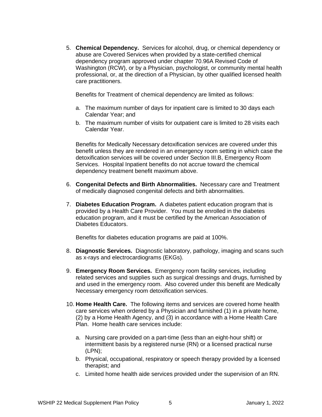5. **Chemical Dependency.** Services for alcohol, drug, or chemical dependency or abuse are Covered Services when provided by a state-certified chemical dependency program approved under chapter 70.96A Revised Code of Washington (RCW), or by a Physician, psychologist, or community mental health professional, or, at the direction of a Physician, by other qualified licensed health care practitioners.

Benefits for Treatment of chemical dependency are limited as follows:

- a. The maximum number of days for inpatient care is limited to 30 days each Calendar Year; and
- b. The maximum number of visits for outpatient care is limited to 28 visits each Calendar Year.

Benefits for Medically Necessary detoxification services are covered under this benefit unless they are rendered in an emergency room setting in which case the detoxification services will be covered under Section III.B, Emergency Room Services. Hospital Inpatient benefits do not accrue toward the chemical dependency treatment benefit maximum above.

- 6. **Congenital Defects and Birth Abnormalities.** Necessary care and Treatment of medically diagnosed congenital defects and birth abnormalities.
- 7. **Diabetes Education Program.** A diabetes patient education program that is provided by a Health Care Provider. You must be enrolled in the diabetes education program, and it must be certified by the American Association of Diabetes Educators.

Benefits for diabetes education programs are paid at 100%.

- 8. **Diagnostic Services.** Diagnostic laboratory, pathology, imaging and scans such as x-rays and electrocardiograms (EKGs).
- 9. **Emergency Room Services.** Emergency room facility services, including related services and supplies such as surgical dressings and drugs, furnished by and used in the emergency room.Also covered under this benefit are Medically Necessary emergency room detoxification services.
- 10. **Home Health Care.** The following items and services are covered home health care services when ordered by a Physician and furnished (1) in a private home, (2) by a Home Health Agency, and (3) in accordance with a Home Health Care Plan. Home health care services include:
	- a. Nursing care provided on a part-time (less than an eight-hour shift) or intermittent basis by a registered nurse (RN) or a licensed practical nurse (LPN);
	- b. Physical, occupational, respiratory or speech therapy provided by a licensed therapist; and
	- c. Limited home health aide services provided under the supervision of an RN.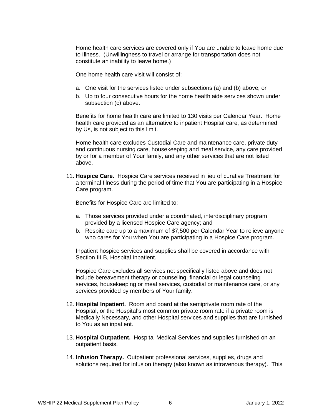Home health care services are covered only if You are unable to leave home due to Illness. (Unwillingness to travel or arrange for transportation does not constitute an inability to leave home.)

One home health care visit will consist of:

- a. One visit for the services listed under subsections (a) and (b) above; or
- b. Up to four consecutive hours for the home health aide services shown under subsection (c) above.

Benefits for home health care are limited to 130 visits per Calendar Year. Home health care provided as an alternative to inpatient Hospital care, as determined by Us, is not subject to this limit.

Home health care excludes Custodial Care and maintenance care, private duty and continuous nursing care, housekeeping and meal service, any care provided by or for a member of Your family, and any other services that are not listed above.

11. **Hospice Care.** Hospice Care services received in lieu of curative Treatment for a terminal Illness during the period of time that You are participating in a Hospice Care program.

Benefits for Hospice Care are limited to:

- a. Those services provided under a coordinated, interdisciplinary program provided by a licensed Hospice Care agency; and
- b. Respite care up to a maximum of \$7,500 per Calendar Year to relieve anyone who cares for You when You are participating in a Hospice Care program.

Inpatient hospice services and supplies shall be covered in accordance with Section III.B, Hospital Inpatient.

Hospice Care excludes all services not specifically listed above and does not include bereavement therapy or counseling, financial or legal counseling services, housekeeping or meal services, custodial or maintenance care, or any services provided by members of Your family.

- 12. **Hospital Inpatient.** Room and board at the semiprivate room rate of the Hospital, or the Hospital's most common private room rate if a private room is Medically Necessary, and other Hospital services and supplies that are furnished to You as an inpatient.
- 13. **Hospital Outpatient.** Hospital Medical Services and supplies furnished on an outpatient basis.
- 14. **Infusion Therapy.** Outpatient professional services, supplies, drugs and solutions required for infusion therapy (also known as intravenous therapy).This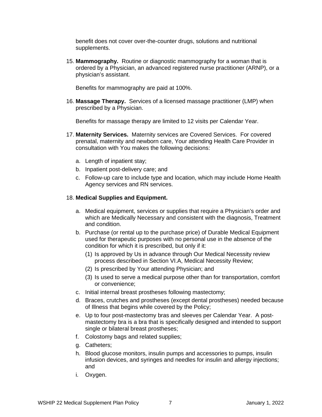benefit does not cover over-the-counter drugs, solutions and nutritional supplements.

15. **Mammography.** Routine or diagnostic mammography for a woman that is ordered by a Physician, an advanced registered nurse practitioner (ARNP), or a physician's assistant.

Benefits for mammography are paid at 100%.

16. **Massage Therapy.** Services of a licensed massage practitioner (LMP) when prescribed by a Physician.

Benefits for massage therapy are limited to 12 visits per Calendar Year.

- 17. **Maternity Services.** Maternity services are Covered Services. For covered prenatal, maternity and newborn care, Your attending Health Care Provider in consultation with You makes the following decisions:
	- a. Length of inpatient stay;
	- b. Inpatient post-delivery care; and
	- c. Follow-up care to include type and location, which may include Home Health Agency services and RN services.

#### 18. **Medical Supplies and Equipment.**

- a. Medical equipment, services or supplies that require a Physician's order and which are Medically Necessary and consistent with the diagnosis, Treatment and condition.
- b. Purchase (or rental up to the purchase price) of Durable Medical Equipment used for therapeutic purposes with no personal use in the absence of the condition for which it is prescribed, but only if it:
	- (1) Is approved by Us in advance through Our Medical Necessity review process described in Section VI.A, Medical Necessity Review;
	- (2) Is prescribed by Your attending Physician; and
	- (3) Is used to serve a medical purpose other than for transportation, comfort or convenience;
- c. Initial internal breast prostheses following mastectomy;
- d. Braces, crutches and prostheses (except dental prostheses) needed because of Illness that begins while covered by the Policy;
- e. Up to four post-mastectomy bras and sleeves per Calendar Year. A postmastectomy bra is a bra that is specifically designed and intended to support single or bilateral breast prostheses;
- f. Colostomy bags and related supplies;
- g. Catheters;
- h. Blood glucose monitors, insulin pumps and accessories to pumps, insulin infusion devices, and syringes and needles for insulin and allergy injections; and
- i. Oxygen.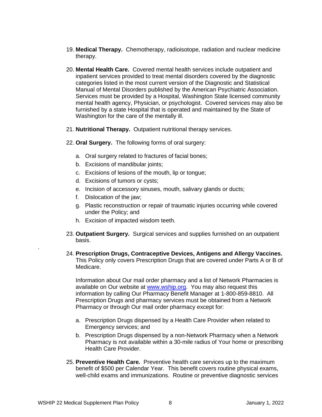- 19. **Medical Therapy.** Chemotherapy, radioisotope, radiation and nuclear medicine therapy.
- 20. **Mental Health Care.** Covered mental health services include outpatient and inpatient services provided to treat mental disorders covered by the diagnostic categories listed in the most current version of the Diagnostic and Statistical Manual of Mental Disorders published by the American Psychiatric Association. Services must be provided by a Hospital, Washington State licensed community mental health agency, Physician, or psychologist. Covered services may also be furnished by a state Hospital that is operated and maintained by the State of Washington for the care of the mentally ill.
- 21. **Nutritional Therapy.** Outpatient nutritional therapy services.
- 22. **Oral Surgery.** The following forms of oral surgery:
	- a. Oral surgery related to fractures of facial bones;
	- b. Excisions of mandibular joints;
	- c. Excisions of lesions of the mouth, lip or tongue;
	- d. Excisions of tumors or cysts;
	- e. Incision of accessory sinuses, mouth, salivary glands or ducts;
	- f. Dislocation of the jaw;
	- g. Plastic reconstruction or repair of traumatic injuries occurring while covered under the Policy; and
	- h. Excision of impacted wisdom teeth.
- 23. **Outpatient Surgery.** Surgical services and supplies furnished on an outpatient basis.
- 24. **Prescription Drugs, Contraceptive Devices, Antigens and Allergy Vaccines.** This Policy only covers Prescription Drugs that are covered under Parts A or B of Medicare.

Information about Our mail order pharmacy and a list of Network Pharmacies is available on Our website at [www.wship.org.](http://www.wship.org/) You may also request this information by calling Our Pharmacy Benefit Manager at 1-800-859-8810. All Prescription Drugs and pharmacy services must be obtained from a Network Pharmacy or through Our mail order pharmacy except for:

- a. Prescription Drugs dispensed by a Health Care Provider when related to Emergency services; and
- b. Prescription Drugs dispensed by a non-Network Pharmacy when a Network Pharmacy is not available within a 30-mile radius of Your home or prescribing Health Care Provider.
- 25. **Preventive Health Care.** Preventive health care services up to the maximum benefit of \$500 per Calendar Year. This benefit covers routine physical exams, well-child exams and immunizations. Routine or preventive diagnostic services

.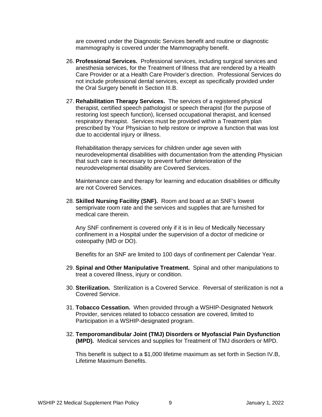are covered under the Diagnostic Services benefit and routine or diagnostic mammography is covered under the Mammography benefit.

- 26. **Professional Services.** Professional services, including surgical services and anesthesia services, for the Treatment of Illness that are rendered by a Health Care Provider or at a Health Care Provider's direction. Professional Services do not include professional dental services, except as specifically provided under the Oral Surgery benefit in Section III.B.
- 27. **Rehabilitation Therapy Services.** The services of a registered physical therapist, certified speech pathologist or speech therapist (for the purpose of restoring lost speech function), licensed occupational therapist, and licensed respiratory therapist. Services must be provided within a Treatment plan prescribed by Your Physician to help restore or improve a function that was lost due to accidental injury or illness.

Rehabilitation therapy services for children under age seven with neurodevelopmental disabilities with documentation from the attending Physician that such care is necessary to prevent further deterioration of the neurodevelopmental disability are Covered Services.

Maintenance care and therapy for learning and education disabilities or difficulty are not Covered Services.

28. **Skilled Nursing Facility (SNF).** Room and board at an SNF's lowest semiprivate room rate and the services and supplies that are furnished for medical care therein.

Any SNF confinement is covered only if it is in lieu of Medically Necessary confinement in a Hospital under the supervision of a doctor of medicine or osteopathy (MD or DO).

Benefits for an SNF are limited to 100 days of confinement per Calendar Year.

- 29. **Spinal and Other Manipulative Treatment.** Spinal and other manipulations to treat a covered Illness, injury or condition.
- 30. **Sterilization.** Sterilization is a Covered Service. Reversal of sterilization is not a Covered Service.
- 31. **Tobacco Cessation.** When provided through a WSHIP-Designated Network Provider, services related to tobacco cessation are covered, limited to Participation in a WSHIP-designated program.
- 32. **Temporomandibular Joint (TMJ) Disorders or Myofascial Pain Dysfunction (MPD).** Medical services and supplies for Treatment of TMJ disorders or MPD.

This benefit is subject to a \$1,000 lifetime maximum as set forth in Section IV.B, Lifetime Maximum Benefits.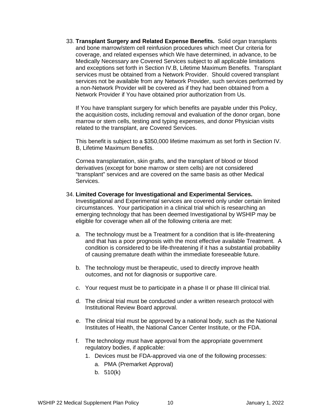33. **Transplant Surgery and Related Expense Benefits.** Solid organ transplants and bone marrow/stem cell reinfusion procedures which meet Our criteria for coverage, and related expenses which We have determined, in advance, to be Medically Necessary are Covered Services subject to all applicable limitations and exceptions set forth in Section IV.B, Lifetime Maximum Benefits. Transplant services must be obtained from a Network Provider. Should covered transplant services not be available from any Network Provider, such services performed by a non-Network Provider will be covered as if they had been obtained from a Network Provider if You have obtained prior authorization from Us.

If You have transplant surgery for which benefits are payable under this Policy, the acquisition costs, including removal and evaluation of the donor organ, bone marrow or stem cells, testing and typing expenses, and donor Physician visits related to the transplant, are Covered Services.

This benefit is subject to a \$350,000 lifetime maximum as set forth in Section IV. B, Lifetime Maximum Benefits.

Cornea transplantation, skin grafts, and the transplant of blood or blood derivatives (except for bone marrow or stem cells) are not considered "transplant" services and are covered on the same basis as other Medical Services.

#### 34. **Limited Coverage for Investigational and Experimental Services.**

Investigational and Experimental services are covered only under certain limited circumstances. Your participation in a clinical trial which is researching an emerging technology that has been deemed Investigational by WSHIP may be eligible for coverage when all of the following criteria are met:

- a. The technology must be a Treatment for a condition that is life-threatening and that has a poor prognosis with the most effective available Treatment. A condition is considered to be life-threatening if it has a substantial probability of causing premature death within the immediate foreseeable future.
- b. The technology must be therapeutic, used to directly improve health outcomes, and not for diagnosis or supportive care.
- c. Your request must be to participate in a phase II or phase III clinical trial.
- d. The clinical trial must be conducted under a written research protocol with Institutional Review Board approval.
- e. The clinical trial must be approved by a national body, such as the National Institutes of Health, the National Cancer Center Institute, or the FDA.
- f. The technology must have approval from the appropriate government regulatory bodies, if applicable:
	- 1. Devices must be FDA-approved via one of the following processes:
		- a. PMA (Premarket Approval)
		- b. 510(k)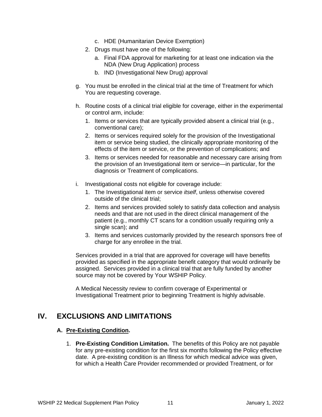- c. HDE (Humanitarian Device Exemption)
- 2. Drugs must have one of the following:
	- a. Final FDA approval for marketing for at least one indication via the NDA (New Drug Application) process
	- b. IND (Investigational New Drug) approval
- g. You must be enrolled in the clinical trial at the time of Treatment for which You are requesting coverage.
- h. Routine costs of a clinical trial eligible for coverage, either in the experimental or control arm, include:
	- 1. Items or services that are typically provided absent a clinical trial (e.g., conventional care);
	- 2. Items or services required solely for the provision of the Investigational item or service being studied, the clinically appropriate monitoring of the effects of the item or service, or the prevention of complications; and
	- 3. Items or services needed for reasonable and necessary care arising from the provision of an Investigational item or service—in particular, for the diagnosis or Treatment of complications.
- i. Investigational costs not eligible for coverage include:
	- 1. The Investigational item or service *itself*, unless otherwise covered outside of the clinical trial;
	- 2. Items and services provided solely to satisfy data collection and analysis needs and that are not used in the direct clinical management of the patient (e.g., monthly CT scans for a condition usually requiring only a single scan); and
	- 3. Items and services customarily provided by the research sponsors free of charge for any enrollee in the trial.

Services provided in a trial that are approved for coverage will have benefits provided as specified in the appropriate benefit category that would ordinarily be assigned. Services provided in a clinical trial that are fully funded by another source may not be covered by Your WSHIP Policy.

A Medical Necessity review to confirm coverage of Experimental or Investigational Treatment prior to beginning Treatment is highly advisable.

## **IV. EXCLUSIONS AND LIMITATIONS**

#### **A. Pre-Existing Condition.**

1. **Pre-Existing Condition Limitation.** The benefits of this Policy are not payable for any pre-existing condition for the first six months following the Policy effective date. A pre-existing condition is an Illness for which medical advice was given, for which a Health Care Provider recommended or provided Treatment, or for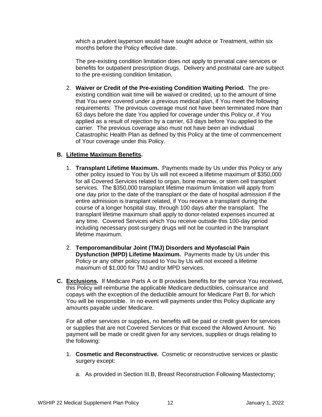which a prudent layperson would have sought advice or Treatment, within six months before the Policy effective date.

The pre-existing condition limitation does not apply to prenatal care services or benefits for outpatient prescription drugs. Delivery and postnatal care are subject to the pre-existing condition limitation.

2. **Waiver or Credit of the Pre-existing Condition Waiting Period.** The preexisting condition wait time will be waived or credited, up to the amount of time that You were covered under a previous medical plan, if You meet the following requirements: The previous coverage must not have been terminated more than 63 days before the date You applied for coverage under this Policy or, if You applied as a result of rejection by a carrier, 63 days before You applied to the carrier. The previous coverage also must not have been an individual Catastrophic Health Plan as defined by this Policy at the time of commencement of Your coverage under this Policy.

### **B. Lifetime Maximum Benefits.**

- 1. **Transplant Lifetime Maximum.** Payments made by Us under this Policy or any other policy issued to You by Us will not exceed a lifetime maximum of \$350,000 for all Covered Services related to organ, bone marrow, or stem cell transplant services. The \$350,000 transplant lifetime maximum limitation will apply from one day prior to the date of the transplant or the date of hospital admission if the entire admission is transplant related, if You receive a transplant during the course of a longer hospital stay, through 100 days after the transplant. The transplant lifetime maximum shall apply to donor-related expenses incurred at any time. Covered Services which You receive outside this 100-day period including necessary post-surgery drugs will not be counted in the transplant lifetime maximum.
- 2. **Temporomandibular Joint (TMJ) Disorders and Myofascial Pain Dysfunction (MPD) Lifetime Maximum.** Payments made by Us under this Policy or any other policy issued to You by Us will not exceed a lifetime maximum of \$1,000 for TMJ and/or MPD services.
- **C. Exclusions.** If Medicare Parts A or B provides benefits for the service You received, this Policy will reimburse the applicable Medicare deductibles, coinsurance and copays with the exception of the deductible amount for Medicare Part B, for which You will be responsible. In no event will payments under this Policy duplicate any amounts payable under Medicare.

For all other services or supplies, no benefits will be paid or credit given for services or supplies that are not Covered Services or that exceed the Allowed Amount. No payment will be made or credit given for any services, supplies or drugs relating to the following:

- 1. **Cosmetic and Reconstructive.** Cosmetic or reconstructive services or plastic surgery except:
	- a. As provided in Section III.B, Breast Reconstruction Following Mastectomy;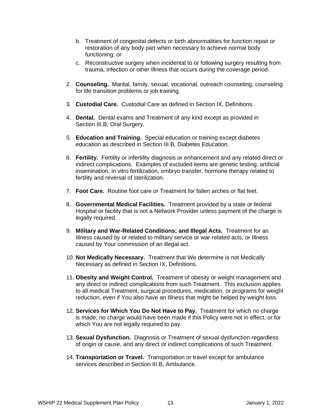- b. Treatment of congenital defects or birth abnormalities for function repair or restoration of any body part when necessary to achieve normal body functioning; or
- c. Reconstructive surgery when incidental to or following surgery resulting from trauma, infection or other Illness that occurs during the coverage period.
- 2. **Counseling.** Marital, family, sexual, vocational, outreach counseling, counseling for life transition problems or job training.
- 3. **Custodial Care.** Custodial Care as defined in Section IX, Definitions.
- 4. **Dental.** Dental exams and Treatment of any kind except as provided in Section III.B, Oral Surgery.
- 5. **Education and Training.** Special education or training except diabetes education as described in Section III.B, Diabetes Education.
- 6. **Fertility.** Fertility or infertility diagnosis or enhancement and any related direct or indirect complications. Examples of excluded items are genetic testing, artificial insemination, in vitro fertilization, embryo transfer, hormone therapy related to fertility and reversal of sterilization.
- 7. **Foot Care.** Routine foot care or Treatment for fallen arches or flat feet.
- 8. **Governmental Medical Facilities.** Treatment provided by a state or federal Hospital or facility that is not a Network Provider unless payment of the charge is legally required.
- 9. **Military and War-Related Conditions; and Illegal Acts.** Treatment for an Illness caused by or related to military service or war-related acts, or Illness caused by Your commission of an illegal act.
- 10. **Not Medically Necessary.** Treatment that We determine is not Medically Necessary as defined in Section IX, Definitions.
- 11. **Obesity and Weight Control.** Treatment of obesity or weight management and any direct or indirect complications from such Treatment. This exclusion applies to all medical Treatment, surgical procedures, medication, or programs for weight reduction, even if You also have an Illness that might be helped by weight loss.
- 12. **Services for Which You Do Not Have to Pay.** Treatment for which no charge is made, no charge would have been made if this Policy were not in effect, or for which You are not legally required to pay.
- 13. **Sexual Dysfunction.** Diagnosis or Treatment of sexual dysfunction regardless of origin or cause, and any direct or indirect complications of such Treatment.
- 14. **Transportation or Travel.** Transportation or travel except for ambulance services described in Section III.B, Ambulance.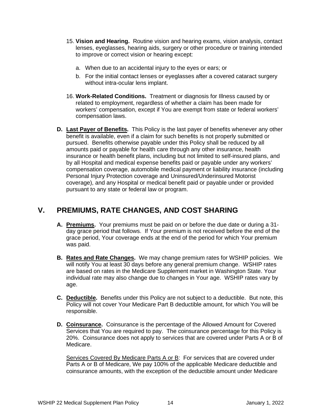- 15. **Vision and Hearing.** Routine vision and hearing exams, vision analysis, contact lenses, eyeglasses, hearing aids, surgery or other procedure or training intended to improve or correct vision or hearing except:
	- a. When due to an accidental injury to the eyes or ears; or
	- b. For the initial contact lenses or eyeglasses after a covered cataract surgery without intra-ocular lens implant.
- 16. **Work-Related Conditions.** Treatment or diagnosis for Illness caused by or related to employment, regardless of whether a claim has been made for workers' compensation, except if You are exempt from state or federal workers' compensation laws.
- **D. Last Payer of Benefits.** This Policy is the last payer of benefits whenever any other benefit is available, even if a claim for such benefits is not properly submitted or pursued. Benefits otherwise payable under this Policy shall be reduced by all amounts paid or payable for health care through any other insurance, health insurance or health benefit plans, including but not limited to self-insured plans, and by all Hospital and medical expense benefits paid or payable under any workers' compensation coverage, automobile medical payment or liability insurance (including Personal Injury Protection coverage and Uninsured/Underinsured Motorist coverage), and any Hospital or medical benefit paid or payable under or provided pursuant to any state or federal law or program.

## **V. PREMIUMS, RATE CHANGES, AND COST SHARING**

- **A. Premiums.** Your premiums must be paid on or before the due date or during a 31 day grace period that follows. If Your premium is not received before the end of the grace period, Your coverage ends at the end of the period for which Your premium was paid.
- **B. Rates and Rate Changes.** We may change premium rates for WSHIP policies. We will notify You at least 30 days before any general premium change. WSHIP rates are based on rates in the Medicare Supplement market in Washington State. Your individual rate may also change due to changes in Your age. WSHIP rates vary by age.
- **C. Deductible.** Benefits under this Policy are not subject to a deductible. But note, this Policy will not cover Your Medicare Part B deductible amount, for which You will be responsible.
- **D. Coinsurance.** Coinsurance is the percentage of the Allowed Amount for Covered Services that You are required to pay. The coinsurance percentage for this Policy is 20%. Coinsurance does not apply to services that are covered under Parts A or B of Medicare.

Services Covered By Medicare Parts A or B: For services that are covered under Parts A or B of Medicare, We pay 100% of the applicable Medicare deductible and coinsurance amounts, with the exception of the deductible amount under Medicare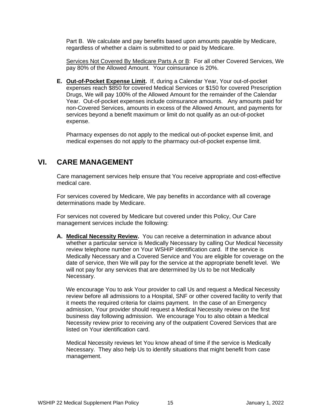Part B. We calculate and pay benefits based upon amounts payable by Medicare, regardless of whether a claim is submitted to or paid by Medicare.

Services Not Covered By Medicare Parts A or B: For all other Covered Services, We pay 80% of the Allowed Amount. Your coinsurance is 20%.

**E. Out-of-Pocket Expense Limit.** If, during a Calendar Year, Your out-of-pocket expenses reach \$850 for covered Medical Services or \$150 for covered Prescription Drugs, We will pay 100% of the Allowed Amount for the remainder of the Calendar Year. Out-of-pocket expenses include coinsurance amounts. Any amounts paid for non-Covered Services, amounts in excess of the Allowed Amount, and payments for services beyond a benefit maximum or limit do not qualify as an out-of-pocket expense.

Pharmacy expenses do not apply to the medical out-of-pocket expense limit, and medical expenses do not apply to the pharmacy out-of-pocket expense limit.

## **VI. CARE MANAGEMENT**

Care management services help ensure that You receive appropriate and cost-effective medical care.

For services covered by Medicare, We pay benefits in accordance with all coverage determinations made by Medicare.

For services not covered by Medicare but covered under this Policy, Our Care management services include the following:

**A. Medical Necessity Review.** You can receive a determination in advance about whether a particular service is Medically Necessary by calling Our Medical Necessity review telephone number on Your WSHIP identification card. If the service is Medically Necessary and a Covered Service and You are eligible for coverage on the date of service, then We will pay for the service at the appropriate benefit level. We will not pay for any services that are determined by Us to be not Medically Necessary.

We encourage You to ask Your provider to call Us and request a Medical Necessity review before all admissions to a Hospital, SNF or other covered facility to verify that it meets the required criteria for claims payment. In the case of an Emergency admission, Your provider should request a Medical Necessity review on the first business day following admission. We encourage You to also obtain a Medical Necessity review prior to receiving any of the outpatient Covered Services that are listed on Your identification card.

Medical Necessity reviews let You know ahead of time if the service is Medically Necessary. They also help Us to identify situations that might benefit from case management.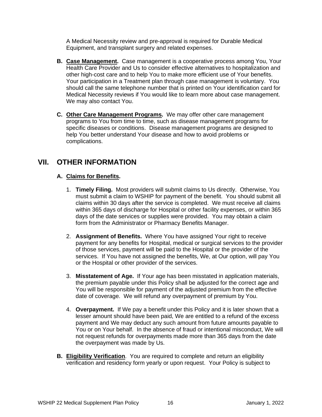A Medical Necessity review and pre-approval is required for Durable Medical Equipment, and transplant surgery and related expenses.

- **B. Case Management.** Case management is a cooperative process among You, Your Health Care Provider and Us to consider effective alternatives to hospitalization and other high-cost care and to help You to make more efficient use of Your benefits. Your participation in a Treatment plan through case management is voluntary. You should call the same telephone number that is printed on Your identification card for Medical Necessity reviews if You would like to learn more about case management. We may also contact You.
- **C. Other Care Management Programs.** We may offer other care management programs to You from time to time, such as disease management programs for specific diseases or conditions. Disease management programs are designed to help You better understand Your disease and how to avoid problems or complications.

## **VII. OTHER INFORMATION**

## **A. Claims for Benefits.**

- 1. **Timely Filing.** Most providers will submit claims to Us directly. Otherwise, You must submit a claim to WSHIP for payment of the benefit. You should submit all claims within 30 days after the service is completed. We must receive all claims within 365 days of discharge for Hospital or other facility expenses, or within 365 days of the date services or supplies were provided. You may obtain a claim form from the Administrator or Pharmacy Benefits Manager.
- 2. **Assignment of Benefits.** Where You have assigned Your right to receive payment for any benefits for Hospital, medical or surgical services to the provider of those services, payment will be paid to the Hospital or the provider of the services. If You have not assigned the benefits, We, at Our option, will pay You or the Hospital or other provider of the services.
- 3. **Misstatement of Age.** If Your age has been misstated in application materials, the premium payable under this Policy shall be adjusted for the correct age and You will be responsible for payment of the adjusted premium from the effective date of coverage. We will refund any overpayment of premium by You.
- 4. **Overpayment.** If We pay a benefit under this Policy and it is later shown that a lesser amount should have been paid, We are entitled to a refund of the excess payment and We may deduct any such amount from future amounts payable to You or on Your behalf. In the absence of fraud or intentional misconduct, We will not request refunds for overpayments made more than 365 days from the date the overpayment was made by Us.
- **B. Eligibility Verification**. You are required to complete and return an eligibility verification and residency form yearly or upon request. Your Policy is subject to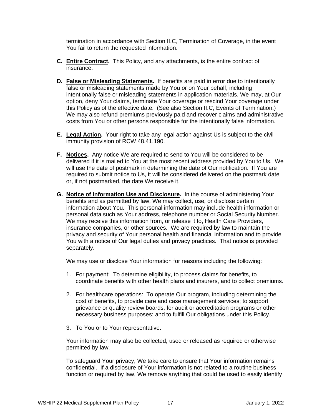termination in accordance with Section II.C, Termination of Coverage, in the event You fail to return the requested information.

- **C. Entire Contract.** This Policy, and any attachments, is the entire contract of insurance.
- **D. False or Misleading Statements.** If benefits are paid in error due to intentionally false or misleading statements made by You or on Your behalf, including intentionally false or misleading statements in application materials, We may, at Our option, deny Your claims, terminate Your coverage or rescind Your coverage under this Policy as of the effective date. (See also Section II.C, Events of Termination.) We may also refund premiums previously paid and recover claims and administrative costs from You or other persons responsible for the intentionally false information.
- **E. Legal Action.** Your right to take any legal action against Us is subject to the civil immunity provision of RCW 48.41.190.
- **F. Notices.** Any notice We are required to send to You will be considered to be delivered if it is mailed to You at the most recent address provided by You to Us. We will use the date of postmark in determining the date of Our notification. If You are required to submit notice to Us, it will be considered delivered on the postmark date or, if not postmarked, the date We receive it.
- **G. Notice of Information Use and Disclosure.** In the course of administering Your benefits and as permitted by law, We may collect, use, or disclose certain information about You. This personal information may include health information or personal data such as Your address, telephone number or Social Security Number. We may receive this information from, or release it to, Health Care Providers, insurance companies, or other sources. We are required by law to maintain the privacy and security of Your personal health and financial information and to provide You with a notice of Our legal duties and privacy practices. That notice is provided separately.

We may use or disclose Your information for reasons including the following:

- 1. For payment: To determine eligibility, to process claims for benefits, to coordinate benefits with other health plans and insurers, and to collect premiums.
- 2. For healthcare operations: To operate Our program, including determining the cost of benefits, to provide care and case management services; to support grievance or quality review boards, for audit or accreditation programs or other necessary business purposes; and to fulfill Our obligations under this Policy.
- 3. To You or to Your representative.

Your information may also be collected, used or released as required or otherwise permitted by law.

To safeguard Your privacy, We take care to ensure that Your information remains confidential. If a disclosure of Your information is not related to a routine business function or required by law, We remove anything that could be used to easily identify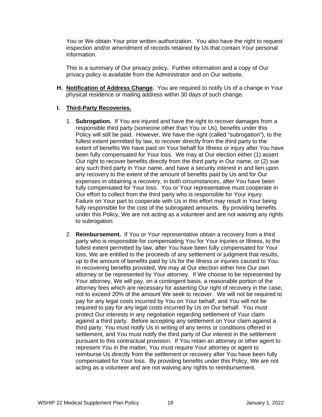You or We obtain Your prior written authorization. You also have the right to request inspection and/or amendment of records retained by Us that contain Your personal information.

This is a summary of Our privacy policy**.** Further information and a copy of Our privacy policy is available from the Administrator and on Our website.

**H. Notification of Address Change.** You are required to notify Us of a change in Your physical residence or mailing address within 30 days of such change.

#### **I. Third-Party Recoveries.**

- 1. **Subrogation.** If You are injured and have the right to recover damages from a responsible third party (someone other than You or Us), benefits under this Policy will still be paid. However, We have the right (called "subrogation"), to the fullest extent permitted by law, to recover directly from the third party to the extent of benefits We have paid on Your behalf for Illness or injury after You have been fully compensated for Your loss. We may at Our election either (1) assert Our right to recover benefits directly from the third party in Our name, or (2) sue any such third party in Your name, and have a security interest in and lien upon any recovery to the extent of the amount of benefits paid by Us and for Our expenses in obtaining a recovery, in both circumstances, after You have been fully compensated for Your loss. You or Your representative must cooperate in Our effort to collect from the third party who is responsible for Your injury. Failure on Your part to cooperate with Us in this effort may result in Your being fully responsible for the cost of the subrogated amounts. By providing benefits under this Policy, We are not acting as a volunteer and are not waiving any rights to subrogation.
- 2. **Reimbursement.** If You or Your representative obtain a recovery from a third party who is responsible for compensating You for Your injuries or Illness, to the fullest extent permitted by law, after You have been fully compensated for Your loss, We are entitled to the proceeds of any settlement or judgment that results, up to the amount of benefits paid by Us for the Illness or injuries caused to You. In recovering benefits provided, We may at Our election either hire Our own attorney or be represented by Your attorney. If We choose to be represented by Your attorney, We will pay, on a contingent basis, a reasonable portion of the attorney fees which are necessary for asserting Our right of recovery in the case, not to exceed 20% of the amount We seek to recover. We will not be required to pay for any legal costs incurred by You on Your behalf, and You will not be required to pay for any legal costs incurred by Us on Our behalf. You must protect Our interests in any negotiation regarding settlement of Your claim against a third party. Before accepting any settlement on Your claim against a third party, You must notify Us in writing of any terms or conditions offered in settlement, and You must notify the third party of Our interest in the settlement pursuant to this contractual provision. If You retain an attorney or other agent to represent You in the matter, You must require Your attorney or agent to reimburse Us directly from the settlement or recovery after You have been fully compensated for Your loss. By providing benefits under this Policy, We are not acting as a volunteer and are not waiving any rights to reimbursement.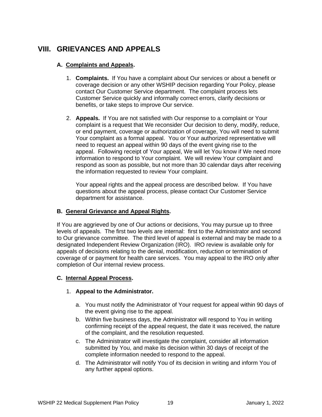## **VIII. GRIEVANCES AND APPEALS**

## **A. Complaints and Appeals.**

- 1. **Complaints.** If You have a complaint about Our services or about a benefit or coverage decision or any other WSHIP decision regarding Your Policy, please contact Our Customer Service department. The complaint process lets Customer Service quickly and informally correct errors, clarify decisions or benefits, or take steps to improve Our service.
- 2. **Appeals.** If You are not satisfied with Our response to a complaint or Your complaint is a request that We reconsider Our decision to deny, modify, reduce, or end payment, coverage or authorization of coverage, You will need to submit Your complaint as a formal appeal. You or Your authorized representative will need to request an appeal within 90 days of the event giving rise to the appeal. Following receipt of Your appeal, We will let You know if We need more information to respond to Your complaint. We will review Your complaint and respond as soon as possible, but not more than 30 calendar days after receiving the information requested to review Your complaint.

Your appeal rights and the appeal process are described below. If You have questions about the appeal process, please contact Our Customer Service department for assistance.

#### **B. General Grievance and Appeal Rights.**

If You are aggrieved by one of Our actions or decisions, You may pursue up to three levels of appeals. The first two levels are internal: first to the Administrator and second to Our grievance committee. The third level of appeal is external and may be made to a designated Independent Review Organization (IRO). IRO review is available only for appeals of decisions relating to the denial, modification, reduction or termination of coverage of or payment for health care services. You may appeal to the IRO only after completion of Our internal review process.

## **C. Internal Appeal Process.**

#### 1. **Appeal to the Administrator.**

- a. You must notify the Administrator of Your request for appeal within 90 days of the event giving rise to the appeal.
- b. Within five business days, the Administrator will respond to You in writing confirming receipt of the appeal request, the date it was received, the nature of the complaint, and the resolution requested.
- c. The Administrator will investigate the complaint, consider all information submitted by You, and make its decision within 30 days of receipt of the complete information needed to respond to the appeal.
- d. The Administrator will notify You of its decision in writing and inform You of any further appeal options.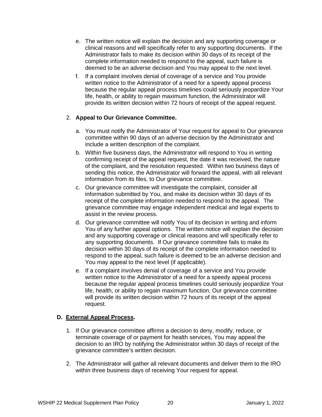- e. The written notice will explain the decision and any supporting coverage or clinical reasons and will specifically refer to any supporting documents. If the Administrator fails to make its decision within 30 days of its receipt of the complete information needed to respond to the appeal, such failure is deemed to be an adverse decision and You may appeal to the next level.
- f. If a complaint involves denial of coverage of a service and You provide written notice to the Administrator of a need for a speedy appeal process because the regular appeal process timelines could seriously jeopardize Your life, health, or ability to regain maximum function, the Administrator will provide its written decision within 72 hours of receipt of the appeal request.

## 2. **Appeal to Our Grievance Committee.**

- a. You must notify the Administrator of Your request for appeal to Our grievance committee within 90 days of an adverse decision by the Administrator and include a written description of the complaint.
- b. Within five business days, the Administrator will respond to You in writing confirming receipt of the appeal request, the date it was received, the nature of the complaint, and the resolution requested. Within two business days of sending this notice, the Administrator will forward the appeal, with all relevant information from its files, to Our grievance committee.
- c. Our grievance committee will investigate the complaint, consider all information submitted by You, and make its decision within 30 days of its receipt of the complete information needed to respond to the appeal. The grievance committee may engage independent medical and legal experts to assist in the review process.
- d. Our grievance committee will notify You of its decision in writing and inform You of any further appeal options. The written notice will explain the decision and any supporting coverage or clinical reasons and will specifically refer to any supporting documents. If Our grievance committee fails to make its decision within 30 days of its receipt of the complete information needed to respond to the appeal, such failure is deemed to be an adverse decision and You may appeal to the next level (if applicable).
- e. If a complaint involves denial of coverage of a service and You provide written notice to the Administrator of a need for a speedy appeal process because the regular appeal process timelines could seriously jeopardize Your life, health, or ability to regain maximum function, Our grievance committee will provide its written decision within 72 hours of its receipt of the appeal request.

#### **D. External Appeal Process.**

- 1. If Our grievance committee affirms a decision to deny, modify, reduce, or terminate coverage of or payment for health services, You may appeal the decision to an IRO by notifying the Administrator within 30 days of receipt of the grievance committee's written decision.
- 2. The Administrator will gather all relevant documents and deliver them to the IRO within three business days of receiving Your request for appeal.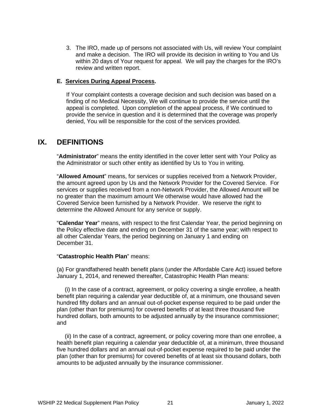3. The IRO, made up of persons not associated with Us, will review Your complaint and make a decision. The IRO will provide its decision in writing to You and Us within 20 days of Your request for appeal. We will pay the charges for the IRO's review and written report.

#### **E. Services During Appeal Process.**

If Your complaint contests a coverage decision and such decision was based on a finding of no Medical Necessity, We will continue to provide the service until the appeal is completed. Upon completion of the appeal process, if We continued to provide the service in question and it is determined that the coverage was properly denied, You will be responsible for the cost of the services provided.

## **IX. DEFINITIONS**

"**Administrator**" means the entity identified in the cover letter sent with Your Policy as the Administrator or such other entity as identified by Us to You in writing.

"**Allowed Amount**" means, for services or supplies received from a Network Provider, the amount agreed upon by Us and the Network Provider for the Covered Service. For services or supplies received from a non-Network Provider, the Allowed Amount will be no greater than the maximum amount We otherwise would have allowed had the Covered Service been furnished by a Network Provider. We reserve the right to determine the Allowed Amount for any service or supply.

"**Calendar Year**" means, with respect to the first Calendar Year, the period beginning on the Policy effective date and ending on December 31 of the same year; with respect to all other Calendar Years, the period beginning on January 1 and ending on December 31.

#### "**Catastrophic Health Plan**" means:

(a) For grandfathered health benefit plans (under the Affordable Care Act) issued before January 1, 2014, and renewed thereafter, Catastrophic Health Plan means:

 (i) In the case of a contract, agreement, or policy covering a single enrollee, a health benefit plan requiring a calendar year deductible of, at a minimum, one thousand seven hundred fifty dollars and an annual out-of-pocket expense required to be paid under the plan (other than for premiums) for covered benefits of at least three thousand five hundred dollars, both amounts to be adjusted annually by the insurance commissioner; and

 (ii) In the case of a contract, agreement, or policy covering more than one enrollee, a health benefit plan requiring a calendar year deductible of, at a minimum, three thousand five hundred dollars and an annual out-of-pocket expense required to be paid under the plan (other than for premiums) for covered benefits of at least six thousand dollars, both amounts to be adjusted annually by the insurance commissioner.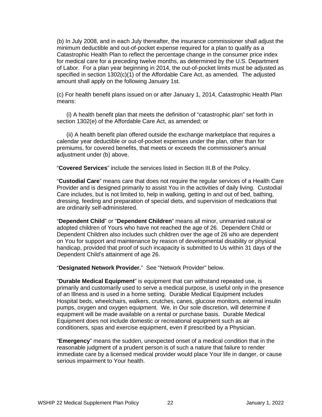(b) In July 2008, and in each July thereafter, the insurance commissioner shall adjust the minimum deductible and out-of-pocket expense required for a plan to qualify as a Catastrophic Health Plan to reflect the percentage change in the consumer price index for medical care for a preceding twelve months, as determined by the U.S. Department of Labor. For a plan year beginning in 2014, the out-of-pocket limits must be adjusted as specified in section  $1302(c)(1)$  of the Affordable Care Act, as amended. The adjusted amount shall apply on the following January 1st.

(c) For health benefit plans issued on or after January 1, 2014, Catastrophic Health Plan means:

 (i) A health benefit plan that meets the definition of "catastrophic plan" set forth in section 1302(e) of the Affordable Care Act, as amended; or

 (ii) A health benefit plan offered outside the exchange marketplace that requires a calendar year deductible or out-of-pocket expenses under the plan, other than for premiums, for covered benefits, that meets or exceeds the commissioner's annual adjustment under (b) above.

"**Covered Services**" include the services listed in Section III.B of the Policy.

"**Custodial Care**" means care that does not require the regular services of a Health Care Provider and is designed primarily to assist You in the activities of daily living. Custodial Care includes, but is not limited to, help in walking, getting in and out of bed, bathing, dressing, feeding and preparation of special diets, and supervision of medications that are ordinarily self-administered.

"**Dependent Child**" or "**Dependent Children**" means all minor, unmarried natural or adopted children of Yours who have not reached the age of 26. Dependent Child or Dependent Children also includes such children over the age of 26 who are dependent on You for support and maintenance by reason of developmental disability or physical handicap, provided that proof of such incapacity is submitted to Us within 31 days of the Dependent Child's attainment of age 26.

"**Designated Network Provider.**" See "Network Provider" below.

"**Durable Medical Equipment**" is equipment that can withstand repeated use, is primarily and customarily used to serve a medical purpose, is useful only in the presence of an Illness and is used in a home setting. Durable Medical Equipment includes Hospital beds, wheelchairs, walkers, crutches, canes, glucose monitors, external insulin pumps, oxygen and oxygen equipment. We, in Our sole discretion, will determine if equipment will be made available on a rental or purchase basis. Durable Medical Equipment does not include domestic or recreational equipment such as air conditioners, spas and exercise equipment, even if prescribed by a Physician.

"**Emergency**" means the sudden, unexpected onset of a medical condition that in the reasonable judgment of a prudent person is of such a nature that failure to render immediate care by a licensed medical provider would place Your life in danger, or cause serious impairment to Your health.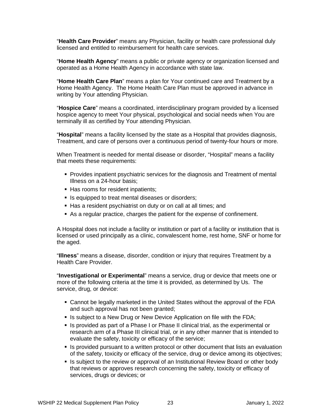"**Health Care Provider**" means any Physician, facility or health care professional duly licensed and entitled to reimbursement for health care services.

"**Home Health Agency**" means a public or private agency or organization licensed and operated as a Home Health Agency in accordance with state law.

"**Home Health Care Plan**" means a plan for Your continued care and Treatment by a Home Health Agency. The Home Health Care Plan must be approved in advance in writing by Your attending Physician.

"**Hospice Care**" means a coordinated, interdisciplinary program provided by a licensed hospice agency to meet Your physical, psychological and social needs when You are terminally ill as certified by Your attending Physician.

"**Hospital**" means a facility licensed by the state as a Hospital that provides diagnosis, Treatment, and care of persons over a continuous period of twenty-four hours or more.

When Treatment is needed for mental disease or disorder, "Hospital" means a facility that meets these requirements:

- **Provides inpatient psychiatric services for the diagnosis and Treatment of mental** Illness on a 24-hour basis;
- Has rooms for resident inpatients;
- **If** Is equipped to treat mental diseases or disorders;
- Has a resident psychiatrist on duty or on call at all times; and
- As a regular practice, charges the patient for the expense of confinement.

A Hospital does not include a facility or institution or part of a facility or institution that is licensed or used principally as a clinic, convalescent home, rest home, SNF or home for the aged.

"**Illness**" means a disease, disorder, condition or injury that requires Treatment by a Health Care Provider.

"**Investigational or Experimental**" means a service, drug or device that meets one or more of the following criteria at the time it is provided, as determined by Us. The service, drug, or device:

- Cannot be legally marketed in the United States without the approval of the FDA and such approval has not been granted;
- **IS subject to a New Drug or New Device Application on file with the FDA;**
- Is provided as part of a Phase I or Phase II clinical trial, as the experimental or research arm of a Phase III clinical trial, or in any other manner that is intended to evaluate the safety, toxicity or efficacy of the service;
- **IF** Is provided pursuant to a written protocol or other document that lists an evaluation of the safety, toxicity or efficacy of the service, drug or device among its objectives;
- If Is subject to the review or approval of an Institutional Review Board or other body that reviews or approves research concerning the safety, toxicity or efficacy of services, drugs or devices; or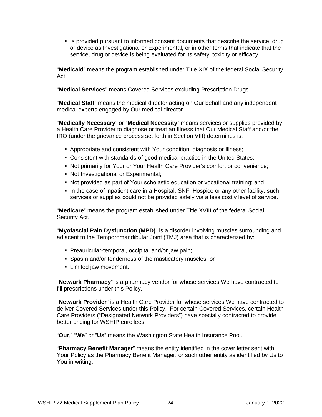Is provided pursuant to informed consent documents that describe the service, drug or device as Investigational or Experimental, or in other terms that indicate that the service, drug or device is being evaluated for its safety, toxicity or efficacy.

"**Medicaid**" means the program established under Title XIX of the federal Social Security Act.

"**Medical Services**" means Covered Services excluding Prescription Drugs.

"**Medical Staff**" means the medical director acting on Our behalf and any independent medical experts engaged by Our medical director.

"**Medically Necessary**" or "**Medical Necessity**" means services or supplies provided by a Health Care Provider to diagnose or treat an Illness that Our Medical Staff and/or the IRO (under the grievance process set forth in Section VIII) determines is:

- Appropriate and consistent with Your condition, diagnosis or Illness;
- Consistent with standards of good medical practice in the United States;
- Not primarily for Your or Your Health Care Provider's comfort or convenience;
- Not Investigational or Experimental;
- Not provided as part of Your scholastic education or vocational training; and
- In the case of inpatient care in a Hospital, SNF, Hospice or any other facility, such services or supplies could not be provided safely via a less costly level of service.

"**Medicare**" means the program established under Title XVIII of the federal Social Security Act.

"**Myofascial Pain Dysfunction (MPD)**" is a disorder involving muscles surrounding and adjacent to the Temporomandibular Joint (TMJ) area that is characterized by:

- **Preauricular-temporal, occipital and/or jaw pain;**
- **Spasm and/or tenderness of the masticatory muscles; or**
- **E** Limited jaw movement.

"**Network Pharmacy**" is a pharmacy vendor for whose services We have contracted to fill prescriptions under this Policy.

"**Network Provider**" is a Health Care Provider for whose services We have contracted to deliver Covered Services under this Policy. For certain Covered Services, certain Health Care Providers ("Designated Network Providers") have specially contracted to provide better pricing for WSHIP enrollees.

"**Our**," "**We**" or "**Us**" means the Washington State Health Insurance Pool.

"**Pharmacy Benefit Manager**" means the entity identified in the cover letter sent with Your Policy as the Pharmacy Benefit Manager, or such other entity as identified by Us to You in writing.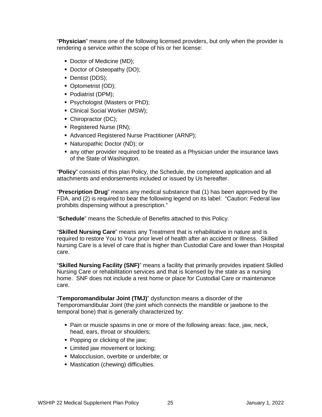"**Physician**" means one of the following licensed providers, but only when the provider is rendering a service within the scope of his or her license:

- Doctor of Medicine (MD);
- Doctor of Osteopathy (DO);
- Dentist (DDS);
- Optometrist (OD);
- Podiatrist (DPM);
- **Psychologist (Masters or PhD);**
- Clinical Social Worker (MSW);
- Chiropractor (DC);
- Registered Nurse (RN);
- Advanced Registered Nurse Practitioner (ARNP);
- Naturopathic Doctor (ND); or
- any other provider required to be treated as a Physician under the insurance laws of the State of Washington.

"**Policy**" consists of this plan Policy, the Schedule, the completed application and all attachments and endorsements included or issued by Us hereafter.

"**Prescription Drug**" means any medical substance that (1) has been approved by the FDA, and (2) is required to bear the following legend on its label: "Caution: Federal law prohibits dispensing without a prescription."

"**Schedule**" means the Schedule of Benefits attached to this Policy.

"**Skilled Nursing Care**" means any Treatment that is rehabilitative in nature and is required to restore You to Your prior level of health after an accident or Illness. Skilled Nursing Care is a level of care that is higher than Custodial Care and lower than Hospital care.

"**Skilled Nursing Facility (SNF)**" means a facility that primarily provides inpatient Skilled Nursing Care or rehabilitation services and that is licensed by the state as a nursing home. SNF does not include a rest home or place for Custodial Care or maintenance care.

"**Temporomandibular Joint (TMJ)**" dysfunction means a disorder of the Temporomandibular Joint (the joint which connects the mandible or jawbone to the temporal bone) that is generally characterized by:

- Pain or muscle spasms in one or more of the following areas: face, jaw, neck, head, ears, throat or shoulders;
- Popping or clicking of the jaw;
- **EXECUTE:** Limited jaw movement or locking;
- Malocclusion, overbite or underbite; or
- **Mastication (chewing) difficulties.**